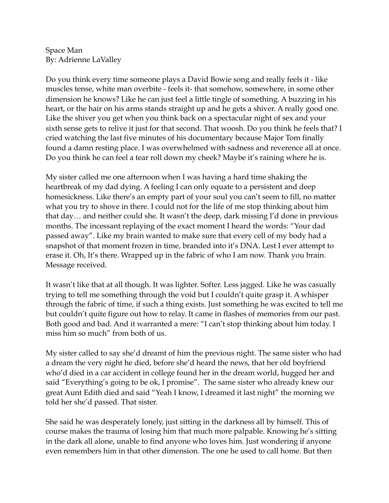Space Man By: Adrienne LaValley

Do you think every time someone plays a David Bowie song and really feels it - like muscles tense, white man overbite - feels it- that somehow, somewhere, in some other dimension he knows? Like he can just feel a little tingle of something. A buzzing in his heart, or the hair on his arms stands straight up and he gets a shiver. A really good one. Like the shiver you get when you think back on a spectacular night of sex and your sixth sense gets to relive it just for that second. That woosh. Do you think he feels that? I cried watching the last five minutes of his documentary because Major Tom finally found a damn resting place. I was overwhelmed with sadness and reverence all at once. Do you think he can feel a tear roll down my cheek? Maybe it's raining where he is.

My sister called me one afternoon when I was having a hard time shaking the heartbreak of my dad dying. A feeling I can only equate to a persistent and deep homesickness. Like there's an empty part of your soul you can't seem to fill, no matter what you try to shove in there. I could not for the life of me stop thinking about him that day… and neither could she. It wasn't the deep, dark missing I'd done in previous months. The incessant replaying of the exact moment I heard the words: "Your dad passed away". Like my brain wanted to make sure that every cell of my body had a snapshot of that moment frozen in time, branded into it's DNA. Lest I ever attempt to erase it. Oh, It's there. Wrapped up in the fabric of who I am now. Thank you brain. Message received.

It wasn't like that at all though. It was lighter. Softer. Less jagged. Like he was casually trying to tell me something through the void but I couldn't quite grasp it. A whisper through the fabric of time, if such a thing exists. Just something he was excited to tell me but couldn't quite figure out how to relay. It came in flashes of memories from our past. Both good and bad. And it warranted a mere: "I can't stop thinking about him today. I miss him so much" from both of us.

My sister called to say she'd dreamt of him the previous night. The same sister who had a dream the very night he died, before she'd heard the news, that her old boyfriend who'd died in a car accident in college found her in the dream world, hugged her and said "Everything's going to be ok, I promise". The same sister who already knew our great Aunt Edith died and said "Yeah I know, I dreamed it last night" the morning we told her she'd passed. That sister.

She said he was desperately lonely, just sitting in the darkness all by himself. This of course makes the trauma of losing him that much more palpable. Knowing he's sitting in the dark all alone, unable to find anyone who loves him. Just wondering if anyone even remembers him in that other dimension. The one he used to call home. But then